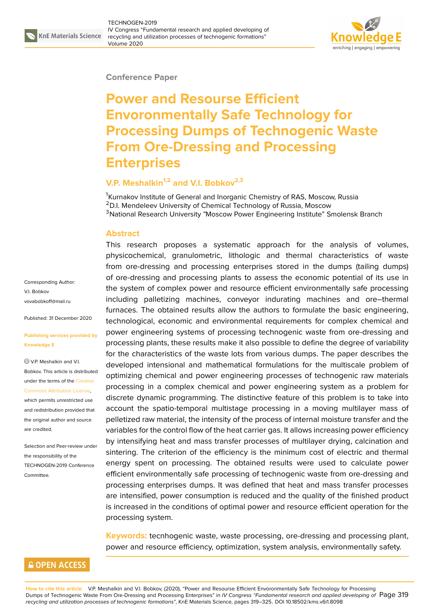#### **Conference Paper**

# **Power and Resourse Efficient Envoronmentally Safe Technology for Processing Dumps of Technogenic Waste From Ore-Dressing and Processing Enterprises**

## **V.P. Meshalkin1,2 and V.I. Bobkov2,3**

<sup>1</sup>Kurnakov Institute of General and Inorganic Chemistry of RAS, Moscow, Russia <sup>2</sup>D.I. Mendeleev University of Chemical Technology of Russia, Moscow <sup>3</sup>National Research University "Moscow Power Engineering Institute" Smolensk Branch

#### **Abstract**

This research proposes a systematic approach for the analysis of volumes, physicochemical, granulometric, lithologic and thermal characteristics of waste from ore-dressing and processing enterprises stored in the dumps (tailing dumps) of ore-dressing and processing plants to assess the economic potential of its use in the system of complex power and resource efficient environmentally safe processing including palletizing machines, conveyor indurating machines and ore–thermal furnaces. The obtained results allow the authors to formulate the basic engineering, technological, economic and environmental requirements for complex chemical and power engineering systems of processing technogenic waste from ore-dressing and processing plants, these results make it also possible to define the degree of variability for the characteristics of the waste lots from various dumps. The paper describes the developed intensional and mathematical formulations for the multiscale problem of optimizing chemical and power engineering processes of technogenic raw materials processing in a complex chemical and power engineering system as a problem for discrete dynamic programming. The distinctive feature of this problem is to take into account the spatio-temporal multistage processing in a moving multilayer mass of pelletized raw material, the intensity of the process of internal moisture transfer and the variables for the control flow of the heat carrier gas. It allows increasing power efficiency by intensifying heat and mass transfer processes of multilayer drying, calcination and sintering. The criterion of the efficiency is the minimum cost of electric and thermal energy spent on processing. The obtained results were used to calculate power efficient environmentally safe processing of technogenic waste from ore-dressing and processing enterprises dumps. It was defined that heat and mass transfer processes are intensified, power consumption is reduced and the quality of the finished product is increased in the conditions of optimal power and resource efficient operation for the processing system.

**Keywords:** tecnhogenic waste, waste processing, ore-dressing and processing plant, power and resource efficiency, optimization, system analysis, environmentally safety.

Corresponding Author: V.I. Bobkov vovabobkoff@mail.ru

Published: 31 December 2020

**[Publishing services p](mailto:vovabobkoff@mail.ru)rovided by Knowledge E**

V.P. Meshalkin and V.I. Bobkov. This article is distributed under the terms of the Creative Commons Attribution License,

which permits unrestricted use and redistribution provided that the original author and [source](https://creativecommons.org/licenses/by/4.0/) [are credited.](https://creativecommons.org/licenses/by/4.0/)

Selection and Peer-review under the responsibility of the TECHNOGEN-2019 Conference Committee.

## **GOPEN ACCESS**

**How to cite this article**: V.P. Meshalkin and V.I. Bobkov, (2020), "Power and Resourse Efficient Envoronmentally Safe Technology for Processing Dumps of Technogenic Waste From Ore-Dressing and Processing Enterprises" in *IV Congress "Fundamental research and applied developing of* Page 319 *recycling and utilization processes of technogenic formations"*, KnE Materials Science, pages 319–325. DOI 10.18502/kms.v6i1.8098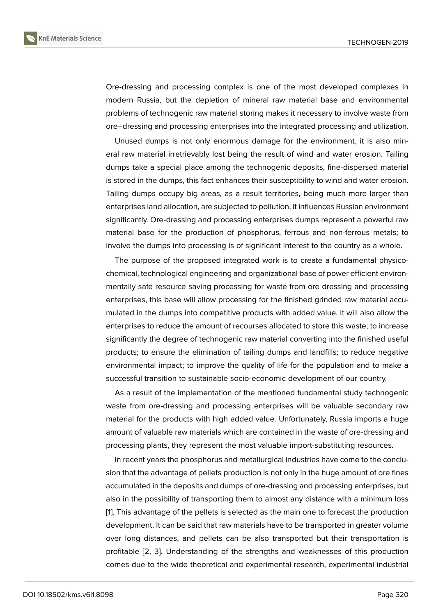Ore-dressing and processing complex is one of the most developed complexes in modern Russia, but the depletion of mineral raw material base and environmental problems of technogenic raw material storing makes it necessary to involve waste from ore–dressing and processing enterprises into the integrated processing and utilization.

Unused dumps is not only enormous damage for the environment, it is also mineral raw material irretrievably lost being the result of wind and water erosion. Tailing dumps take a special place among the technogenic deposits, fine-dispersed material is stored in the dumps, this fact enhances their susceptibility to wind and water erosion. Tailing dumps occupy big areas, as a result territories, being much more larger than enterprises land allocation, are subjected to pollution, it influences Russian environment significantly. Ore-dressing and processing enterprises dumps represent a powerful raw material base for the production of phosphorus, ferrous and non-ferrous metals; to involve the dumps into processing is of significant interest to the country as a whole.

The purpose of the proposed integrated work is to create a fundamental physicochemical, technological engineering and organizational base of power efficient environmentally safe resource saving processing for waste from ore dressing and processing enterprises, this base will allow processing for the finished grinded raw material accumulated in the dumps into competitive products with added value. It will also allow the enterprises to reduce the amount of recourses allocated to store this waste; to increase significantly the degree of technogenic raw material converting into the finished useful products; to ensure the elimination of tailing dumps and landfills; to reduce negative environmental impact; to improve the quality of life for the population and to make a successful transition to sustainable socio-economic development of our country.

As a result of the implementation of the mentioned fundamental study technogenic waste from ore-dressing and processing enterprises will be valuable secondary raw material for the products with high added value. Unfortunately, Russia imports a huge amount of valuable raw materials which are contained in the waste of ore-dressing and processing plants, they represent the most valuable import-substituting resources.

In recent years the phosphorus and metallurgical industries have come to the conclusion that the advantage of pellets production is not only in the huge amount of ore fines accumulated in the deposits and dumps of ore-dressing and processing enterprises, but also in the possibility of transporting them to almost any distance with a minimum loss [1]. This advantage of the pellets is selected as the main one to forecast the production development. It can be said that raw materials have to be transported in greater volume over long distances, and pellets can be also transported but their transportation is [p](#page-4-0)rofitable [2, 3]. Understanding of the strengths and weaknesses of this production comes due to the wide theoretical and experimental research, experimental industrial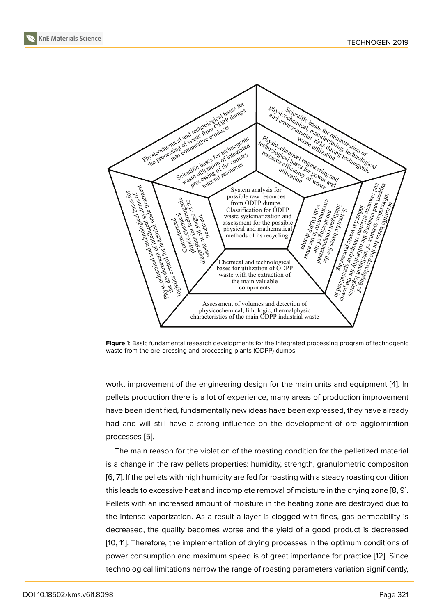

**Figure** 1: Basic fundamental research developments for the integrated processing program of technogenic waste from the ore-dressing and processing plants (ODPP) dumps.

work, improvement of the engineering design for the main units and equipment [4]. In pellets production there is a lot of experience, many areas of production improvement have been identified, fundamentally new ideas have been expressed, they have already had and will still have a strong influence on the development of ore agglomir[at](#page-5-0)ion processes [5].

The main reason for the violation of the roasting condition for the pelletized material is a change in the raw pellets properties: humidity, strength, granulometric compositon [6, 7]. If the [pe](#page-5-1)llets with high humidity are fed for roasting with a steady roasting condition this leads to excessive heat and incomplete removal of moisture in the drying zone [8, 9]. Pellets with an increased amount of moisture in the heating zone are destroyed due to [th](#page-5-2)[e](#page-5-3) intense vaporization. As a result a layer is clogged with fines, gas permeability is decreased, the quality becomes worse and the yield of a good product is decre[as](#page-5-4)[ed](#page-5-5) [10, 11]. Therefore, the implementation of drying processes in the optimum conditions of power consumption and maximum speed is of great importance for practice [12]. Since technological limitations narrow the range of roasting parameters variation significantly,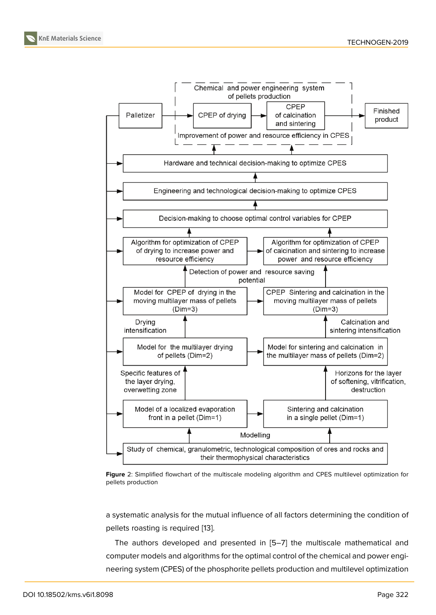



a systematic analysis for the mutual influence of all factors determining the condition of pellets roasting is required [13].

The authors developed and presented in [5–7] the multiscale mathematical and computer models and algorithms for the optimal control of the chemical and power engineering system (CPES) of th[e p](#page-5-7)hosphorite pellets production and multilevel optimization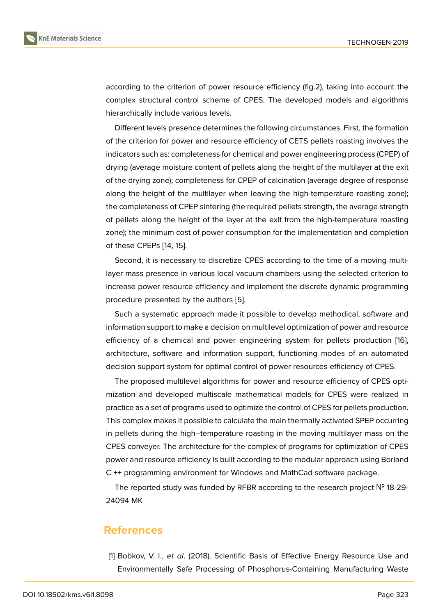according to the criterion of power resource efficiency (fig.2), taking into account the complex structural control scheme of CPES. The developed models and algorithms hierarchically include various levels.

Different levels presence determines the following circumstances. First, the formation of the criterion for power and resource efficiency of CETS pellets roasting involves the indicators such as: completeness for chemical and power engineering process (CPEP) of drying (average moisture content of pellets along the height of the multilayer at the exit of the drying zone); completeness for CPEP of calcination (average degree of response along the height of the multilayer when leaving the high-temperature roasting zone); the completeness of CPEP sintering (the required pellets strength, the average strength of pellets along the height of the layer at the exit from the high-temperature roasting zone); the minimum cost of power consumption for the implementation and completion of these CPEPs [14, 15].

Second, it is necessary to discretize CPES according to the time of a moving multilayer mass presence in various local vacuum chambers using the selected criterion to increase power [res](#page-5-8)[our](#page-6-0)ce efficiency and implement the discrete dynamic programming procedure presented by the authors [5].

Such a systematic approach made it possible to develop methodical, software and information support to make a decision on multilevel optimization of power and resource efficiency of a chemical and power [e](#page-5-1)ngineering system for pellets production [16], architecture, software and information support, functioning modes of an automated decision support system for optimal control of power resources efficiency of CPES.

The proposed multilevel algorithms for power and resource efficiency of CPES [opti](#page-6-1)mization and developed multiscale mathematical models for CPES were realized in practice as a set of programs used to optimize the control of CPES for pellets production. This complex makes it possible to calculate the main thermally activated SPEP occurring in pellets during the high–temperature roasting in the moving multilayer mass on the CPES conveyer. The architecture for the complex of programs for optimization of CPES power and resource efficiency is built according to the modular approach using Borland C ++ programming environment for Windows and MathCad software package.

The reported study was funded by RFBR according to the research project № 18-29- 24094 MK

### **References**

<span id="page-4-0"></span>[1] Bobkov, V. I., *et al*. (2018). Scientific Basis of Effective Energy Resource Use and Environmentally Safe Processing of Phosphorus-Containing Manufacturing Waste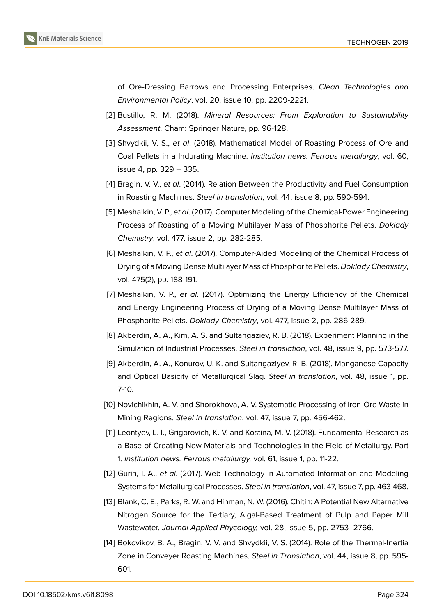

of Ore-Dressing Barrows and Processing Enterprises. *Clean Technologies and Environmental Policy*, vol. 20, issue 10, pp. 2209-2221.

- [2] Bustillo, R. M. (2018). *Mineral Resources: From Exploration to Sustainability Assessment*. Cham: Springer Nature, pp. 96-128.
- [3] Shvydkii, V. S., *et al*. (2018). Mathematical Model of Roasting Process of Ore and Coal Pellets in a Indurating Machine. *Institution news. Ferrous metallurgy*, vol. 60, issue 4, pp. 329 – 335.
- <span id="page-5-0"></span>[4] Bragin, V. V., *et al*. (2014). Relation Between the Productivity and Fuel Consumption in Roasting Machines. *Steel in translation*, vol. 44, issue 8, pp. 590-594.
- <span id="page-5-1"></span>[5] Meshalkin, V. P., *et al*. (2017). Computer Modeling of the Chemical-Power Engineering Process of Roasting of a Moving Multilayer Mass of Phosphorite Pellets. *Doklady Chemistry*, vol. 477, issue 2, pp. 282-285.
- <span id="page-5-2"></span>[6] Meshalkin, V. P., *et al*. (2017). Computer-Aided Modeling of the Chemical Process of Drying of a Moving Dense Multilayer Mass of Phosphorite Pellets. *Doklady Chemistry*, vol. 475(2), рр. 188-191.
- <span id="page-5-3"></span>[7] Meshalkin, V. P., *et al*. (2017). Optimizing the Energy Efficiency of the Chemical and Energy Engineering Process of Drying of a Moving Dense Multilayer Mass of Phosphorite Pellets. *Doklady Chemistry*, vol. 477, issue 2, pp. 286-289.
- <span id="page-5-4"></span>[8] Akberdin, A. A., Kim, A. S. and Sultangaziev, R. B. (2018). Experiment Planning in the Simulation of Industrial Processes. *Steel in translation*, vol. 48, issue 9, pp. 573-577.
- <span id="page-5-5"></span>[9] Akberdin, A. A., Konurov, U. K. and Sultangaziyev, R. B. (2018). Manganese Capacity and Optical Basicity of Metallurgical Slag. *Steel in translation*, vol. 48, issue 1, pp. 7-10.
- [10] Novichikhin, A. V. and Shorokhova, A. V. Systematic Processing of Iron-Ore Waste in Mining Regions. *Steel in translation*, vol. 47, issue 7, pp. 456-462.
- [11] Leontyev, L. I., Grigorovich, K. V. and Kostina, M. V. (2018). Fundamental Research as a Base of Creating New Materials and Technologies in the Field of Metallurgy. Part 1. *Institution news. Ferrous metallurgy,* vol. 61, issue 1, pp. 11-22.
- <span id="page-5-6"></span>[12] Gurin, I. A., *et al*. (2017). Web Technology in Automated Information and Modeling Systems for Metallurgical Processes. *Steel in translation*, vol. 47, issue 7, pp. 463-468.
- <span id="page-5-7"></span>[13] Blank, C. E., Parks, R. W. and Hinman, N. W. (2016). Chitin: A Potential New Alternative Nitrogen Source for the Tertiary, Algal-Based Treatment of Pulp and Paper Mill Wastewater. *Journal Applied Phycology,* vol. 28, issue 5, pp. 2753–2766.
- <span id="page-5-8"></span>[14] Bokovikov, B. A., Bragin, V. V. and Shvydkii, V. S. (2014). Role of the Thermal-Inertia Zone in Conveyer Roasting Machines. *Steel in Translation*, vol. 44, issue 8, pp. 595- 601.